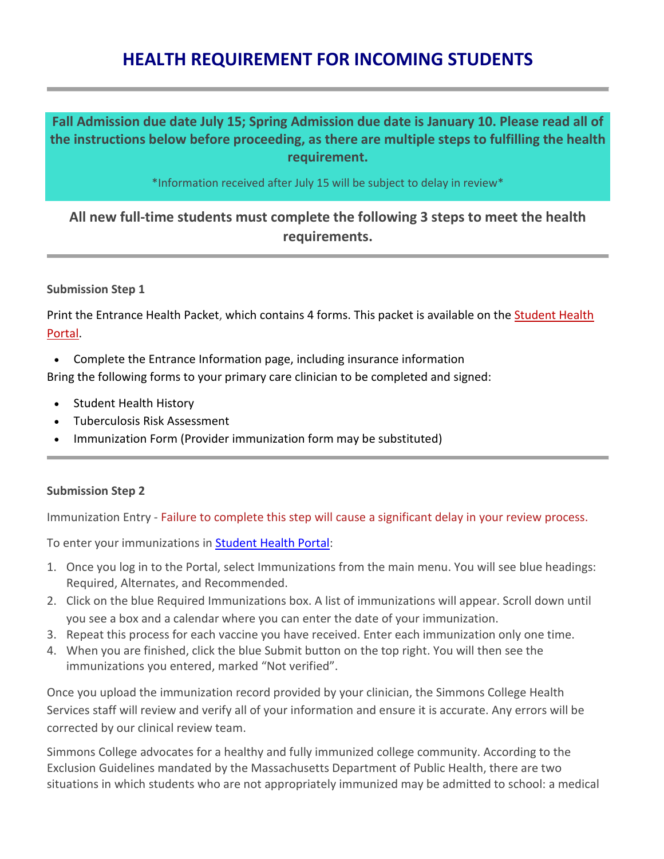# **HEALTH REQUIREMENT FOR INCOMING STUDENTS**

## **Fall Admission due date July 15; Spring Admission due date is January 10. Please read all of the instructions below before proceeding, as there are multiple steps to fulfilling the health requirement.**

\*Information received after July 15 will be subject to delay in review\*

## **All new full-time students must complete the following 3 steps to meet the health requirements.**

### **Submission Step 1**

Print the Entrance Health Packet, which contains 4 forms. This packet is available on the **Student Health** Portal.

• Complete the Entrance Information page, including insurance information

Bring the following forms to your primary care clinician to be completed and signed:

- Student Health History
- Tuberculosis Risk Assessment
- Immunization Form (Provider immunization form may be substituted)

#### **Submission Step 2**

Immunization Entry - Failure to complete this step will cause a significant delay in your review process.

To enter your immunizations in **[Student Health Portal:](http://www.simmons.edu/student-life/student-services/health-center/portal)** 

- 1. Once you log in to the Portal, select Immunizations from the main menu. You will see blue headings: Required, Alternates, and Recommended.
- 2. Click on the blue Required Immunizations box. A list of immunizations will appear. Scroll down until you see a box and a calendar where you can enter the date of your immunization.
- 3. Repeat this process for each vaccine you have received. Enter each immunization only one time.
- 4. When you are finished, click the blue Submit button on the top right. You will then see the immunizations you entered, marked "Not verified".

Once you upload the immunization record provided by your clinician, the Simmons College Health Services staff will review and verify all of your information and ensure it is accurate. Any errors will be corrected by our clinical review team.

Simmons College advocates for a healthy and fully immunized college community. According to the Exclusion Guidelines mandated by the Massachusetts Department of Public Health, there are two situations in which students who are not appropriately immunized may be admitted to school: a medical